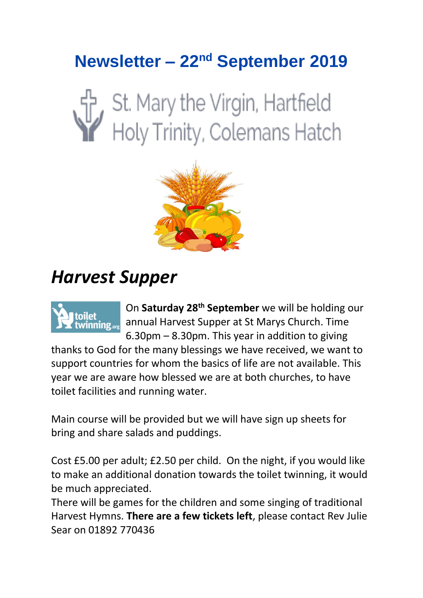## **Newsletter – 22nd September 2019**

# St. Mary the Virgin, Hartfield<br>Holy Trinity, Colemans Hatch



# *Harvest Supper*



On **Saturday 28th September** we will be holding our annual Harvest Supper at St Marys Church. Time 6.30pm – 8.30pm. This year in addition to giving

thanks to God for the many blessings we have received, we want to support countries for whom the basics of life are not available. This year we are aware how blessed we are at both churches, to have toilet facilities and running water.

Main course will be provided but we will have sign up sheets for bring and share salads and puddings.

Cost £5.00 per adult; £2.50 per child. On the night, if you would like to make an additional donation towards the toilet twinning, it would be much appreciated.

There will be games for the children and some singing of traditional Harvest Hymns. **There are a few tickets left**, please contact Rev Julie Sear on 01892 770436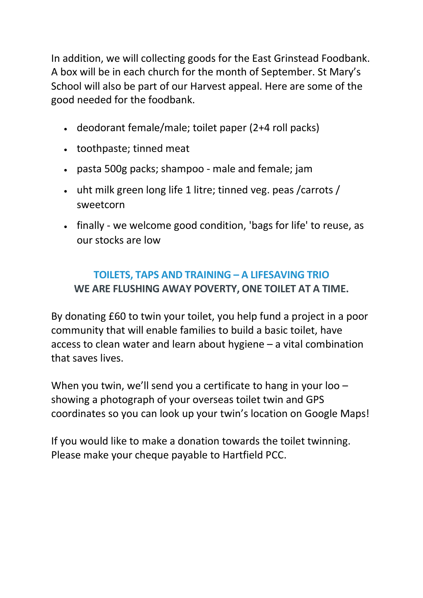In addition, we will collecting goods for the East Grinstead Foodbank. A box will be in each church for the month of September. St Mary's School will also be part of our Harvest appeal. Here are some of the good needed for the foodbank.

- deodorant female/male; toilet paper (2+4 roll packs)
- toothpaste; tinned meat
- pasta 500g packs; shampoo male and female; jam
- uht milk green long life 1 litre; tinned veg. peas /carrots / sweetcorn
- finally we welcome good condition, 'bags for life' to reuse, as our stocks are low

#### **TOILETS, TAPS AND TRAINING – A LIFESAVING TRIO WE ARE FLUSHING AWAY POVERTY, ONE TOILET AT A TIME.**

By donating £60 to twin your toilet, you help fund a project in a poor community that will enable families to build a basic toilet, have access to clean water and learn about hygiene – a vital combination that saves lives.

When you twin, we'll send you a certificate to hang in your loo showing a photograph of your overseas toilet twin and GPS coordinates so you can look up your twin's location on Google Maps!

If you would like to make a donation towards the toilet twinning. Please make your cheque payable to Hartfield PCC.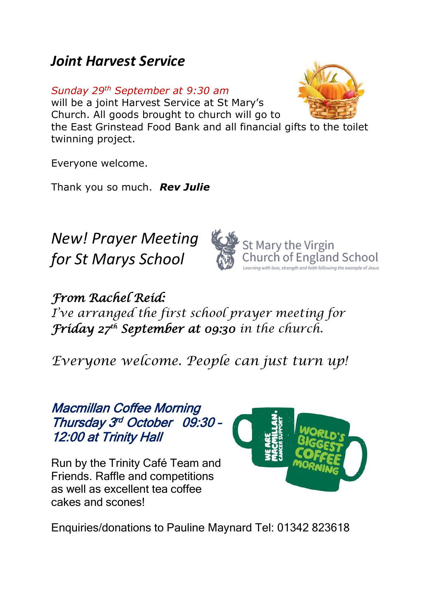## *Joint Harvest Service*

*Sunday 29th September at 9:30 am* 

will be a joint Harvest Service at St Mary's Church. All goods brought to church will go to



Everyone welcome.

Thank you so much. *Rev Julie*

*New! Prayer Meeting for St Marys School*



*From Rachel Reid: I've arranged the first school prayer meeting for Friday 27th September at 09:30 in the church.*

*Everyone welcome. People can just turn up!*

### Macmillan Coffee Morning Thursday 3<sup>rd</sup> October 09:30 -12:00 at Trinity Hall

Run by the Trinity Café Team and Friends. Raffle and competitions as well as excellent tea coffee cakes and scones!



Enquiries/donations to Pauline Maynard Tel: 01342 823618

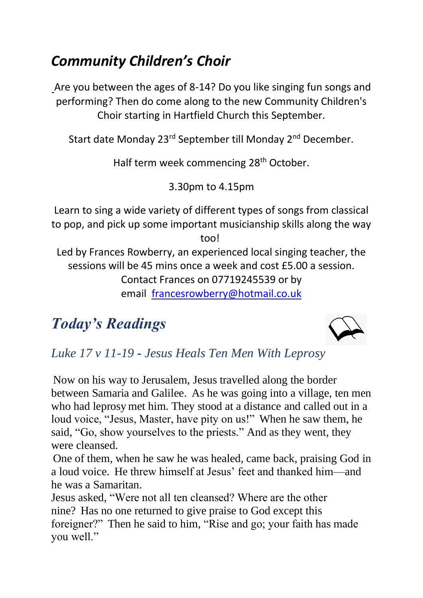## *Community Children's Choir*

Are you between the ages of 8-14? Do you like singing fun songs and performing? Then do come along to the new Community Children's Choir starting in Hartfield Church this September.

Start date Monday 23<sup>rd</sup> September till Monday 2<sup>nd</sup> December.

Half term week commencing 28<sup>th</sup> October.

3.30pm to 4.15pm

Learn to sing a wide variety of different types of songs from classical to pop, and pick up some important musicianship skills along the way too!

Led by Frances Rowberry, an experienced local singing teacher, the sessions will be 45 mins once a week and cost £5.00 a session. Contact Frances on 07719245539 or by email [francesrowberry@hotmail.co.uk](mailto:francesrowberry@hotmail.co.uk)

## *Today's Readings*



## *Luke 17 v 11-19 - Jesus Heals Ten Men With Leprosy*

Now on his way to Jerusalem, Jesus travelled along the border between Samaria and Galilee. As he was going into a village, ten men who had leprosy met him. They stood at a distance and called out in a loud voice, "Jesus, Master, have pity on us!" When he saw them, he said, "Go, show yourselves to the priests." And as they went, they were cleansed.

One of them, when he saw he was healed, came back, praising God in a loud voice. He threw himself at Jesus' feet and thanked him—and he was a Samaritan.

Jesus asked, "Were not all ten cleansed? Where are the other nine? Has no one returned to give praise to God except this foreigner?" Then he said to him, "Rise and go; your faith has made you well."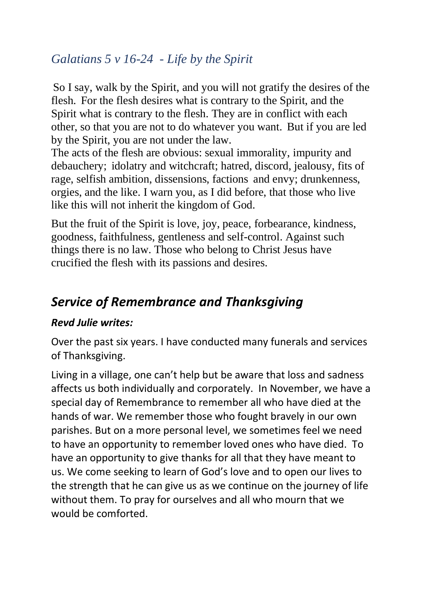### *Galatians 5 v 16-24* - *Life by the Spirit*

So I say, walk by the Spirit, and you will not gratify the desires of the flesh. For the flesh desires what is contrary to the Spirit, and the Spirit what is contrary to the flesh. They are in conflict with each other, so that you are not to do whatever you want. But if you are led by the Spirit, you are not under the law.

The acts of the flesh are obvious: sexual immorality, impurity and debauchery; idolatry and witchcraft; hatred, discord, jealousy, fits of rage, selfish ambition, dissensions, factions and envy; drunkenness, orgies, and the like. I warn you, as I did before, that those who live like this will not inherit the kingdom of God.

But the fruit of the Spirit is love, joy, peace, forbearance, kindness, goodness, faithfulness, gentleness and self-control. Against such things there is no law. Those who belong to Christ Jesus have crucified the flesh with its passions and desires.

## *Service of Remembrance and Thanksgiving*

#### *Revd Julie writes:*

Over the past six years. I have conducted many funerals and services of Thanksgiving.

Living in a village, one can't help but be aware that loss and sadness affects us both individually and corporately. In November, we have a special day of Remembrance to remember all who have died at the hands of war. We remember those who fought bravely in our own parishes. But on a more personal level, we sometimes feel we need to have an opportunity to remember loved ones who have died. To have an opportunity to give thanks for all that they have meant to us. We come seeking to learn of God's love and to open our lives to the strength that he can give us as we continue on the journey of life without them. To pray for ourselves and all who mourn that we would be comforted.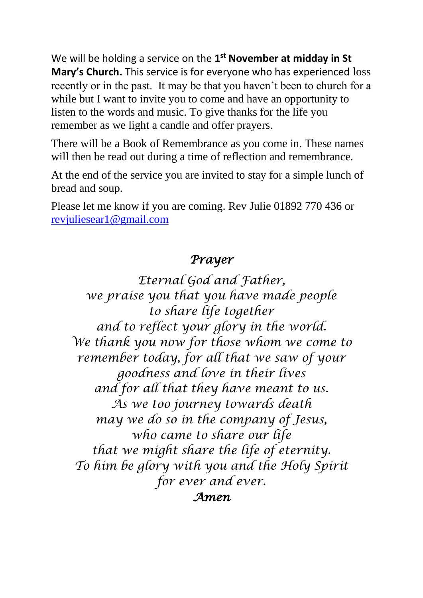We will be holding a service on the 1<sup>st</sup> November at midday in St **Mary's Church.** This service is for everyone who has experienced loss recently or in the past. It may be that you haven't been to church for a while but I want to invite you to come and have an opportunity to listen to the words and music. To give thanks for the life you remember as we light a candle and offer prayers.

There will be a Book of Remembrance as you come in. These names will then be read out during a time of reflection and remembrance.

At the end of the service you are invited to stay for a simple lunch of bread and soup.

Please let me know if you are coming. Rev Julie 01892 770 436 or [revjuliesear1@gmail.com](mailto:revjuliesear1@gmail.com)

### *Prayer*

*Eternal God and Father, we praise you that you have made people to share life together and to reflect your glory in the world. We thank you now for those whom we come to remember today, for all that we saw of your goodness and love in their lives and for all that they have meant to us. As we too journey towards death may we do so in the company of Jesus, who came to share our life that we might share the life of eternity. To him be glory with you and the Holy Spirit for ever and ever. Amen*